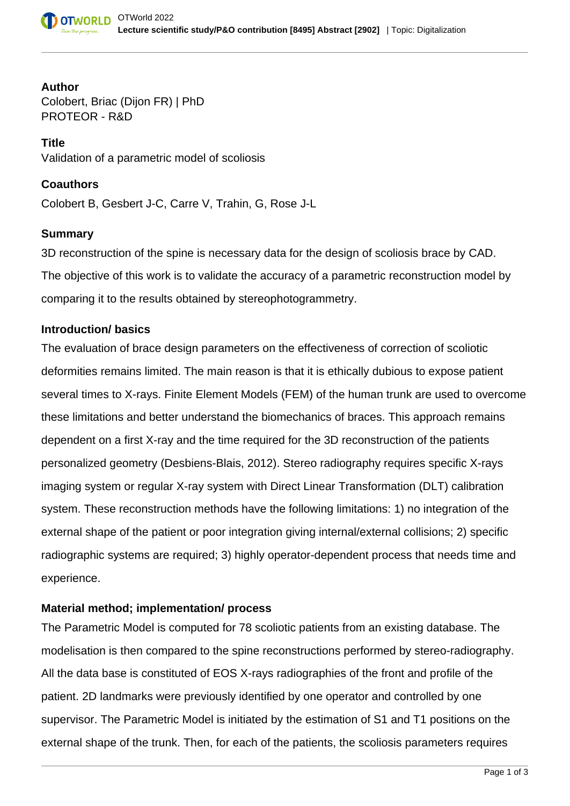# **Author**

Colobert, Briac (Dijon FR) | PhD PROTEOR - R&D

**Title** Validation of a parametric model of scoliosis

## **Coauthors**

Colobert B, Gesbert J-C, Carre V, Trahin, G, Rose J-L

## **Summary**

3D reconstruction of the spine is necessary data for the design of scoliosis brace by CAD. The objective of this work is to validate the accuracy of a parametric reconstruction model by comparing it to the results obtained by stereophotogrammetry.

#### **Introduction/ basics**

The evaluation of brace design parameters on the effectiveness of correction of scoliotic deformities remains limited. The main reason is that it is ethically dubious to expose patient several times to X-rays. Finite Element Models (FEM) of the human trunk are used to overcome these limitations and better understand the biomechanics of braces. This approach remains dependent on a first X-ray and the time required for the 3D reconstruction of the patients personalized geometry (Desbiens-Blais, 2012). Stereo radiography requires specific X-rays imaging system or regular X-ray system with Direct Linear Transformation (DLT) calibration system. These reconstruction methods have the following limitations: 1) no integration of the external shape of the patient or poor integration giving internal/external collisions; 2) specific radiographic systems are required; 3) highly operator-dependent process that needs time and experience.

# **Material method; implementation/ process**

The Parametric Model is computed for 78 scoliotic patients from an existing database. The modelisation is then compared to the spine reconstructions performed by stereo-radiography. All the data base is constituted of EOS X-rays radiographies of the front and profile of the patient. 2D landmarks were previously identified by one operator and controlled by one supervisor. The Parametric Model is initiated by the estimation of S1 and T1 positions on the external shape of the trunk. Then, for each of the patients, the scoliosis parameters requires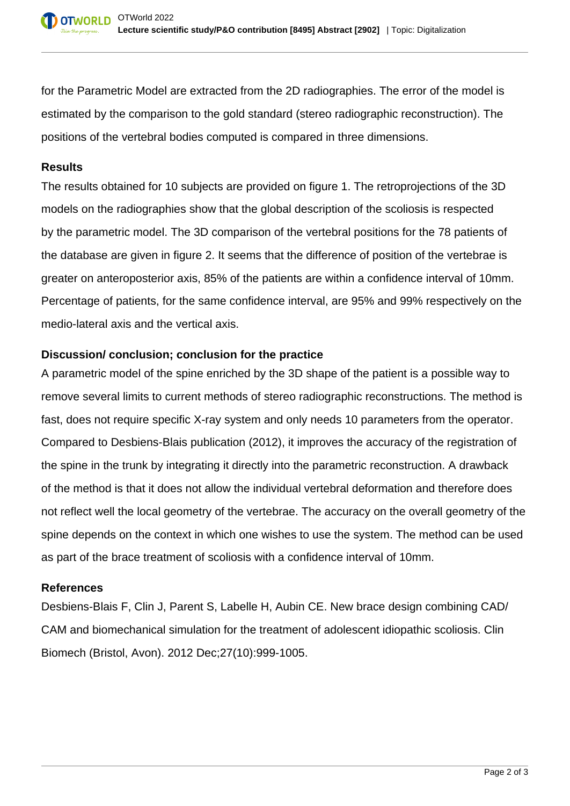for the Parametric Model are extracted from the 2D radiographies. The error of the model is estimated by the comparison to the gold standard (stereo radiographic reconstruction). The positions of the vertebral bodies computed is compared in three dimensions.

### **Results**

The results obtained for 10 subjects are provided on figure 1. The retroprojections of the 3D models on the radiographies show that the global description of the scoliosis is respected by the parametric model. The 3D comparison of the vertebral positions for the 78 patients of the database are given in figure 2. It seems that the difference of position of the vertebrae is greater on anteroposterior axis, 85% of the patients are within a confidence interval of 10mm. Percentage of patients, for the same confidence interval, are 95% and 99% respectively on the medio-lateral axis and the vertical axis.

# **Discussion/ conclusion; conclusion for the practice**

A parametric model of the spine enriched by the 3D shape of the patient is a possible way to remove several limits to current methods of stereo radiographic reconstructions. The method is fast, does not require specific X-ray system and only needs 10 parameters from the operator. Compared to Desbiens-Blais publication (2012), it improves the accuracy of the registration of the spine in the trunk by integrating it directly into the parametric reconstruction. A drawback of the method is that it does not allow the individual vertebral deformation and therefore does not reflect well the local geometry of the vertebrae. The accuracy on the overall geometry of the spine depends on the context in which one wishes to use the system. The method can be used as part of the brace treatment of scoliosis with a confidence interval of 10mm.

#### **References**

Desbiens-Blais F, Clin J, Parent S, Labelle H, Aubin CE. New brace design combining CAD/ CAM and biomechanical simulation for the treatment of adolescent idiopathic scoliosis. Clin Biomech (Bristol, Avon). 2012 Dec;27(10):999-1005.